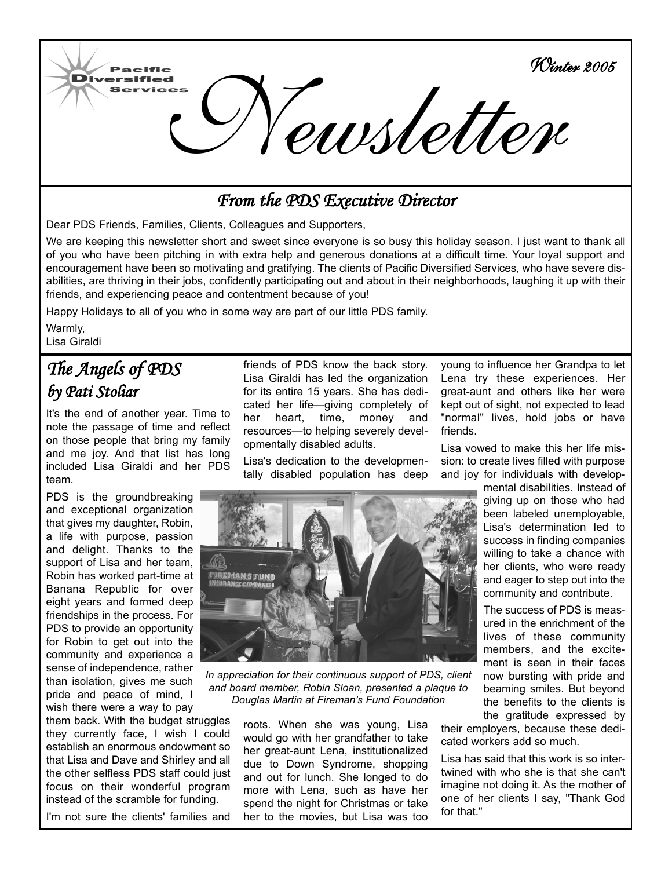

## *From the PDS Executive Director*

Dear PDS Friends, Families, Clients, Colleagues and Supporters,

We are keeping this newsletter short and sweet since everyone is so busy this holiday season. I just want to thank all of you who have been pitching in with extra help and generous donations at a difficult time. Your loyal support and encouragement have been so motivating and gratifying. The clients of Pacific Diversified Services, who have severe disabilities, are thriving in their jobs, confidently participating out and about in their neighborhoods, laughing it up with their friends, and experiencing peace and contentment because of you!

Happy Holidays to all of you who in some way are part of our little PDS family.

Warmly, Lisa Giraldi

m

## *The Angels of PDS by Pati Stoliar*

It's the end of another year. Time to note the passage of time and reflect on those people that bring my family and me joy. And that list has long included Lisa Giraldi and her PDS team.

PDS is the groundbreaking and exceptional organization that gives my daughter, Robin, a life with purpose, passion and delight. Thanks to the support of Lisa and her team, Robin has worked part-time at Banana Republic for over eight years and formed deep friendships in the process. For PDS to provide an opportunity for Robin to get out into the community and experience a sense of independence, rather than isolation, gives me such pride and peace of mind, I wish there were a way to pay

them back. With the budget struggles they currently face, I wish I could establish an enormous endowment so that Lisa and Dave and Shirley and all the other selfless PDS staff could just focus on their wonderful program instead of the scramble for funding.

I'm not sure the clients' families and

friends of PDS know the back story. Lisa Giraldi has led the organization for its entire 15 years. She has dedicated her life—giving completely of her heart, time, money and resources—to helping severely developmentally disabled adults.

Lisa's dedication to the developmentally disabled population has deep



*In appreciation for their continuous support of PDS, client and board member, Robin Sloan, presented a plaque to Douglas Martin at Fireman's Fund Foundation* 

roots. When she was young, Lisa would go with her grandfather to take her great-aunt Lena, institutionalized due to Down Syndrome, shopping and out for lunch. She longed to do more with Lena, such as have her spend the night for Christmas or take her to the movies, but Lisa was too

young to influence her Grandpa to let Lena try these experiences. Her great-aunt and others like her were kept out of sight, not expected to lead "normal" lives, hold jobs or have friends.

Lisa vowed to make this her life mission: to create lives filled with purpose and joy for individuals with develop-

> mental disabilities. Instead of giving up on those who had been labeled unemployable, Lisa's determination led to success in finding companies willing to take a chance with her clients, who were ready and eager to step out into the community and contribute.

The success of PDS is measured in the enrichment of the lives of these community members, and the excitement is seen in their faces now bursting with pride and beaming smiles. But beyond the benefits to the clients is the gratitude expressed by

their employers, because these dedicated workers add so much.

Lisa has said that this work is so intertwined with who she is that she can't imagine not doing it. As the mother of one of her clients I say, "Thank God for that."